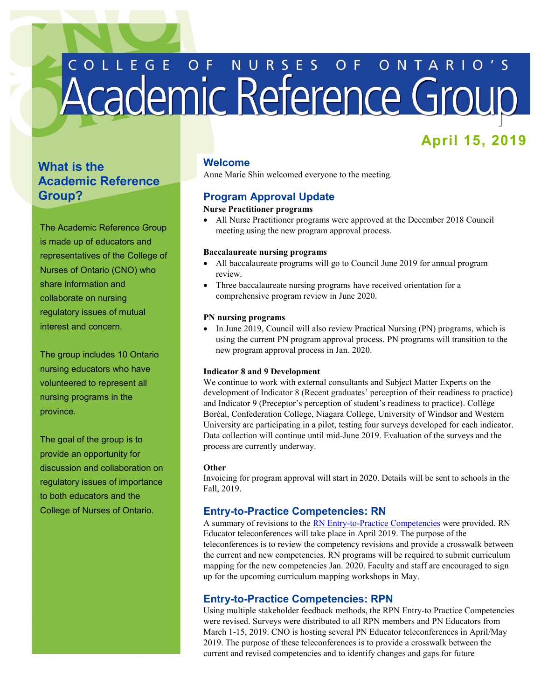# COLLEGE OF NURSES OF ONTARIO'S

# **April 15, 2019**

# **What is the Academic Reference Group?**

The Academic Reference Group is made up of educators and representatives of the College of Nurses of Ontario (CNO) who share information and collaborate on nursing regulatory issues of mutual interest and concern.

 nursing educators who have The group includes 10 Ontario volunteered to represent all nursing programs in the province.

 provide an opportunity for The goal of the group is to discussion and collaboration on regulatory issues of importance to both educators and the College of Nurses of Ontario.

## **Welcome**

Anne Marie Shin welcomed everyone to the meeting.

# **Program Approval Update**

# **Nurse Practitioner programs**

 meeting using the new program approval process. All Nurse Practitioner programs were approved at the December 2018 Council

## **Baccalaureate nursing programs**

- All baccalaureate programs will go to Council June 2019 for annual program review.
- Three baccalaureate nursing programs have received orientation for a comprehensive program review in June 2020.

#### **PN nursing programs**

• In June 2019, Council will also review Practical Nursing (PN) programs, which is using the current PN program approval process. PN programs will transition to the new program approval process in Jan. 2020.

#### **Indicator 8 and 9 Development**

 We continue to work with external consultants and Subject Matter Experts on the development of Indicator 8 (Recent graduates' perception of their readiness to practice) and Indicator 9 (Preceptor's perception of student's readiness to practice). Collège Boréal, Confederation College, Niagara College, University of Windsor and Western University are participating in a pilot, testing four surveys developed for each indicator. Data collection will continue until mid-June 2019. Evaluation of the surveys and the process are currently underway.

#### **Other**

 Invoicing for program approval will start in 2020. Details will be sent to schools in the Fall, 2019.

# **Entry-to-Practice Competencies: RN**

A summary of revisions to the [RN Entry-to-Practice Competencies](http://www.cno.org/globalassets/docs/reg/41037-entry-to-practice-competencies-2020.pdf) were provided. RN Educator teleconferences will take place in April 2019. The purpose of the teleconferences is to review the competency revisions and provide a crosswalk between the current and new competencies. RN programs will be required to submit curriculum mapping for the new competencies Jan. 2020. Faculty and staff are encouraged to sign up for the upcoming curriculum mapping workshops in May.

## **Entry-to-Practice Competencies: RPN**

Using multiple stakeholder feedback methods, the RPN Entry-to Practice Competencies were revised. Surveys were distributed to all RPN members and PN Educators from March 1-15, 2019. CNO is hosting several PN Educator teleconferences in April/May 2019. The purpose of these teleconferences is to provide a crosswalk between the current and revised competencies and to identify changes and gaps for future